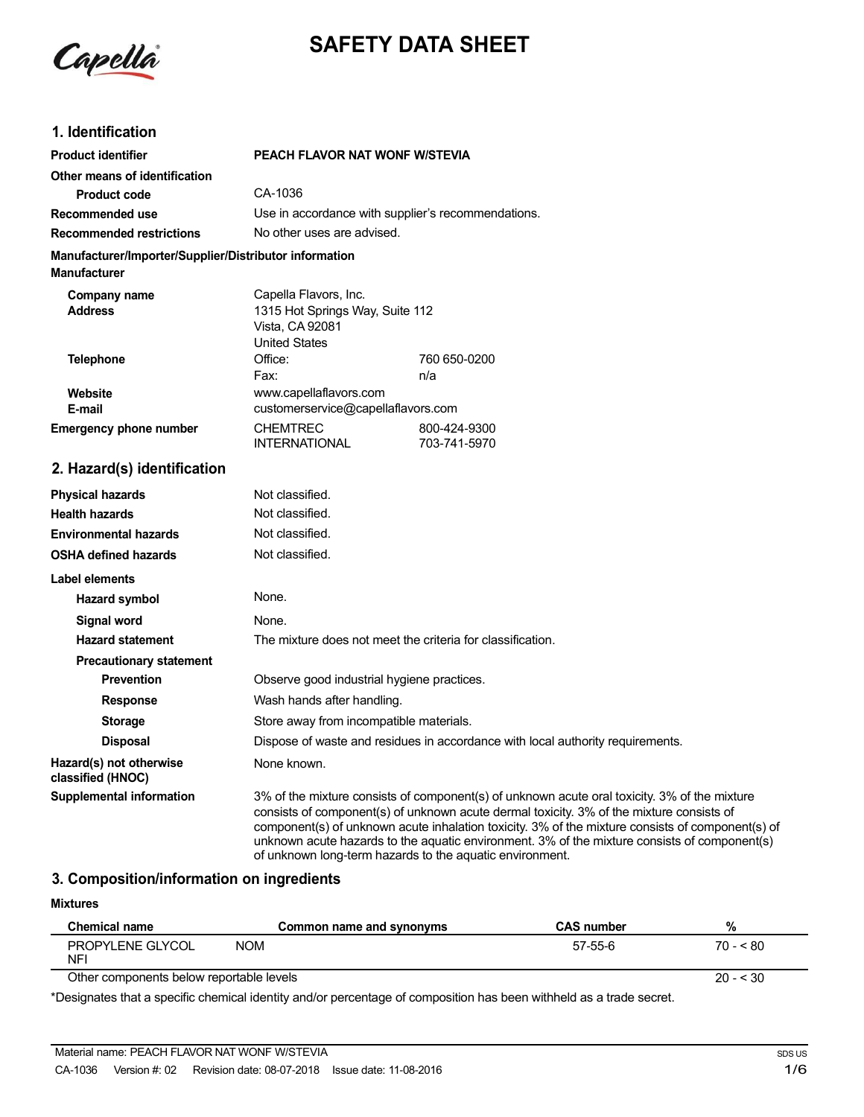

# **SAFETY DATA SHEET**

## **1. Identification**

| <b>Product identifier</b>                                                     | PEACH FLAVOR NAT WONF W/STEVIA                                                                      |                              |
|-------------------------------------------------------------------------------|-----------------------------------------------------------------------------------------------------|------------------------------|
| Other means of identification                                                 |                                                                                                     |                              |
| Product code                                                                  | CA-1036                                                                                             |                              |
| Recommended use                                                               | Use in accordance with supplier's recommendations.                                                  |                              |
| <b>Recommended restrictions</b>                                               | No other uses are advised.                                                                          |                              |
| Manufacturer/Importer/Supplier/Distributor information<br><b>Manufacturer</b> |                                                                                                     |                              |
| Company name<br><b>Address</b>                                                | Capella Flavors, Inc.<br>1315 Hot Springs Way, Suite 112<br>Vista, CA 92081<br><b>United States</b> |                              |
| <b>Telephone</b>                                                              | Office:<br>Fax:                                                                                     | 760 650-0200<br>n/a          |
| Website<br>E-mail                                                             | www.capellaflavors.com<br>customerservice@capellaflavors.com                                        |                              |
| <b>Emergency phone number</b>                                                 | <b>CHEMTREC</b><br><b>INTERNATIONAL</b>                                                             | 800-424-9300<br>703-741-5970 |
| 2. Hazard(s) identification                                                   |                                                                                                     |                              |
| <b>Physical hazards</b>                                                       | Not classified.                                                                                     |                              |
| <b>Health hazards</b>                                                         | Not classified.                                                                                     |                              |
| <b>Environmental hazards</b>                                                  | Not classified.                                                                                     |                              |
| <b>OSHA defined hazards</b>                                                   | Not classified.                                                                                     |                              |

| Label elements                               |                                                                                                                                                                                                                                                                                                                                                                                              |
|----------------------------------------------|----------------------------------------------------------------------------------------------------------------------------------------------------------------------------------------------------------------------------------------------------------------------------------------------------------------------------------------------------------------------------------------------|
| Hazard symbol                                | None.                                                                                                                                                                                                                                                                                                                                                                                        |
| Signal word                                  | None.                                                                                                                                                                                                                                                                                                                                                                                        |
| <b>Hazard statement</b>                      | The mixture does not meet the criteria for classification.                                                                                                                                                                                                                                                                                                                                   |
| <b>Precautionary statement</b>               |                                                                                                                                                                                                                                                                                                                                                                                              |
| <b>Prevention</b>                            | Observe good industrial hygiene practices.                                                                                                                                                                                                                                                                                                                                                   |
| <b>Response</b>                              | Wash hands after handling.                                                                                                                                                                                                                                                                                                                                                                   |
| <b>Storage</b>                               | Store away from incompatible materials.                                                                                                                                                                                                                                                                                                                                                      |
| <b>Disposal</b>                              | Dispose of waste and residues in accordance with local authority requirements.                                                                                                                                                                                                                                                                                                               |
| Hazard(s) not otherwise<br>classified (HNOC) | None known.                                                                                                                                                                                                                                                                                                                                                                                  |
| Supplemental information                     | 3% of the mixture consists of component(s) of unknown acute oral toxicity. 3% of the mixture<br>consists of component(s) of unknown acute dermal toxicity. 3% of the mixture consists of<br>component(s) of unknown acute inhalation toxicity. 3% of the mixture consists of component(s) of<br>unknown acute hazards to the aquatic environment. 3% of the mixture consists of component(s) |

of unknown long-term hazards to the aquatic environment.

## **3. Composition/information on ingredients**

| <b>Mixtures</b>                          |                          |                   |            |
|------------------------------------------|--------------------------|-------------------|------------|
| <b>Chemical name</b>                     | Common name and synonyms | <b>CAS number</b> | %          |
| PROPYLENE GLYCOL<br>NFI                  | <b>NOM</b>               | 57-55-6           | $70 - 580$ |
| Other components below reportable levels |                          |                   | $20 - 530$ |
|                                          |                          |                   |            |

\*Designates that a specific chemical identity and/or percentage of composition has been withheld as a trade secret.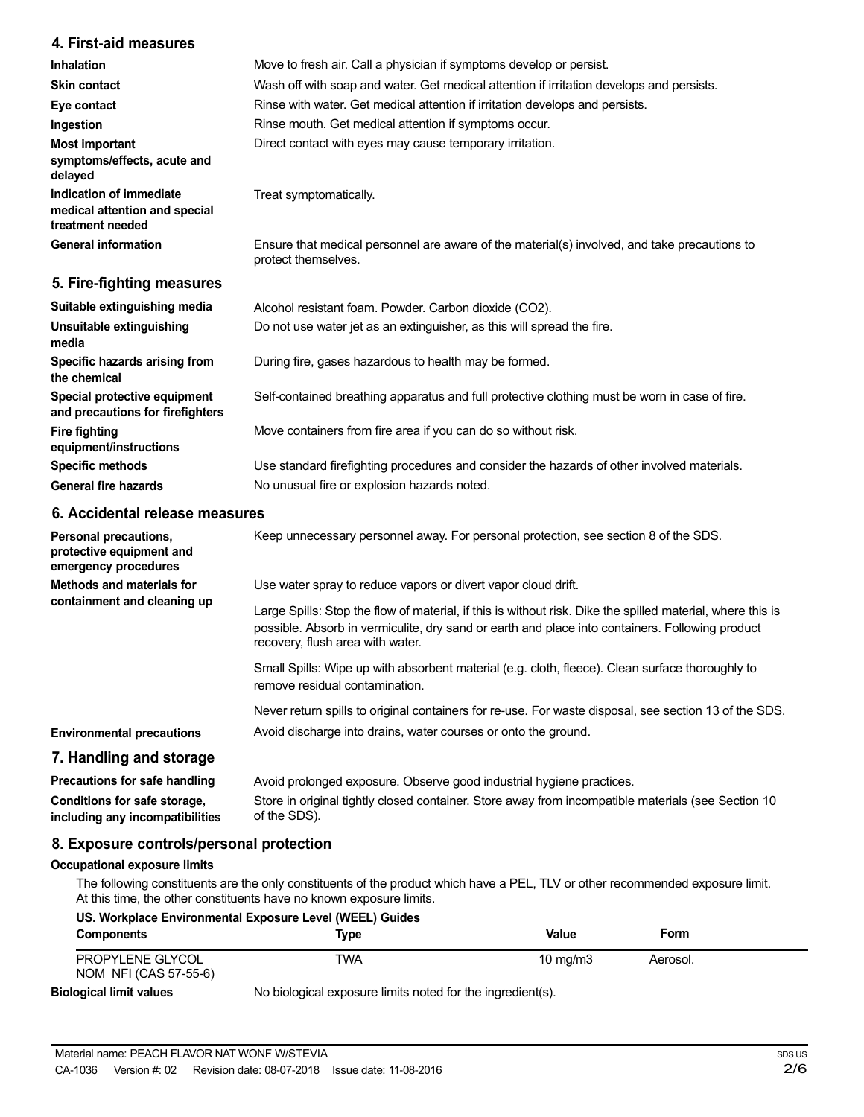## **4. First-aid measures**

| <b>Inhalation</b>                                                            | Move to fresh air. Call a physician if symptoms develop or persist.                                                 |
|------------------------------------------------------------------------------|---------------------------------------------------------------------------------------------------------------------|
| <b>Skin contact</b>                                                          | Wash off with soap and water. Get medical attention if irritation develops and persists.                            |
| Eye contact                                                                  | Rinse with water. Get medical attention if irritation develops and persists.                                        |
| Ingestion                                                                    | Rinse mouth. Get medical attention if symptoms occur.                                                               |
| Most important<br>symptoms/effects, acute and<br>delayed                     | Direct contact with eyes may cause temporary irritation.                                                            |
| Indication of immediate<br>medical attention and special<br>treatment needed | Treat symptomatically.                                                                                              |
| <b>General information</b>                                                   | Ensure that medical personnel are aware of the material(s) involved, and take precautions to<br>protect themselves. |
| 5. Fire-fighting measures                                                    |                                                                                                                     |

| Suitable extinguishing media                                     | Alcohol resistant foam. Powder. Carbon dioxide (CO2).                                         |
|------------------------------------------------------------------|-----------------------------------------------------------------------------------------------|
| Unsuitable extinguishing<br>media                                | Do not use water jet as an extinguisher, as this will spread the fire.                        |
| Specific hazards arising from<br>the chemical                    | During fire, gases hazardous to health may be formed.                                         |
| Special protective equipment<br>and precautions for firefighters | Self-contained breathing apparatus and full protective clothing must be worn in case of fire. |
| <b>Fire fighting</b><br>equipment/instructions                   | Move containers from fire area if you can do so without risk.                                 |
| <b>Specific methods</b>                                          | Use standard firefighting procedures and consider the hazards of other involved materials.    |
| <b>General fire hazards</b>                                      | No unusual fire or explosion hazards noted.                                                   |
|                                                                  |                                                                                               |

## **6. Accidental release measures**

| Personal precautions,<br>protective equipment and<br>emergency procedures | Keep unnecessary personnel away. For personal protection, see section 8 of the SDS.                                                                                                                                                               |
|---------------------------------------------------------------------------|---------------------------------------------------------------------------------------------------------------------------------------------------------------------------------------------------------------------------------------------------|
| Methods and materials for                                                 | Use water spray to reduce vapors or divert vapor cloud drift.                                                                                                                                                                                     |
| containment and cleaning up                                               | Large Spills: Stop the flow of material, if this is without risk. Dike the spilled material, where this is<br>possible. Absorb in vermiculite, dry sand or earth and place into containers. Following product<br>recovery, flush area with water. |
|                                                                           | Small Spills: Wipe up with absorbent material (e.g. cloth, fleece). Clean surface thoroughly to<br>remove residual contamination.                                                                                                                 |
|                                                                           | Never return spills to original containers for re-use. For waste disposal, see section 13 of the SDS.                                                                                                                                             |
| <b>Environmental precautions</b>                                          | Avoid discharge into drains, water courses or onto the ground.                                                                                                                                                                                    |
| 7. Handling and storage                                                   |                                                                                                                                                                                                                                                   |
| Precautions for safe handling                                             | Avoid prolonged exposure. Observe good industrial hygiene practices.                                                                                                                                                                              |
| Conditions for safe storage,<br>including any incompatibilities           | Store in original tightly closed container. Store away from incompatible materials (see Section 10<br>of the SDS).                                                                                                                                |

## **8. Exposure controls/personal protection**

### **Occupational exposure limits**

The following constituents are the only constituents of the product which have a PEL, TLV or other recommended exposure limit. At this time, the other constituents have no known exposure limits.

|                                           | US. Workplace Environmental Exposure Level (WEEL) Guides   |                     |          |  |
|-------------------------------------------|------------------------------------------------------------|---------------------|----------|--|
| <b>Components</b>                         | Type                                                       | Value               | Form     |  |
| PROPYLENE GLYCOL<br>NOM NFI (CAS 57-55-6) | TWA                                                        | $10 \text{ ma/m}$ 3 | Aerosol. |  |
| <b>Biological limit values</b>            | No biological exposure limits noted for the ingredient(s). |                     |          |  |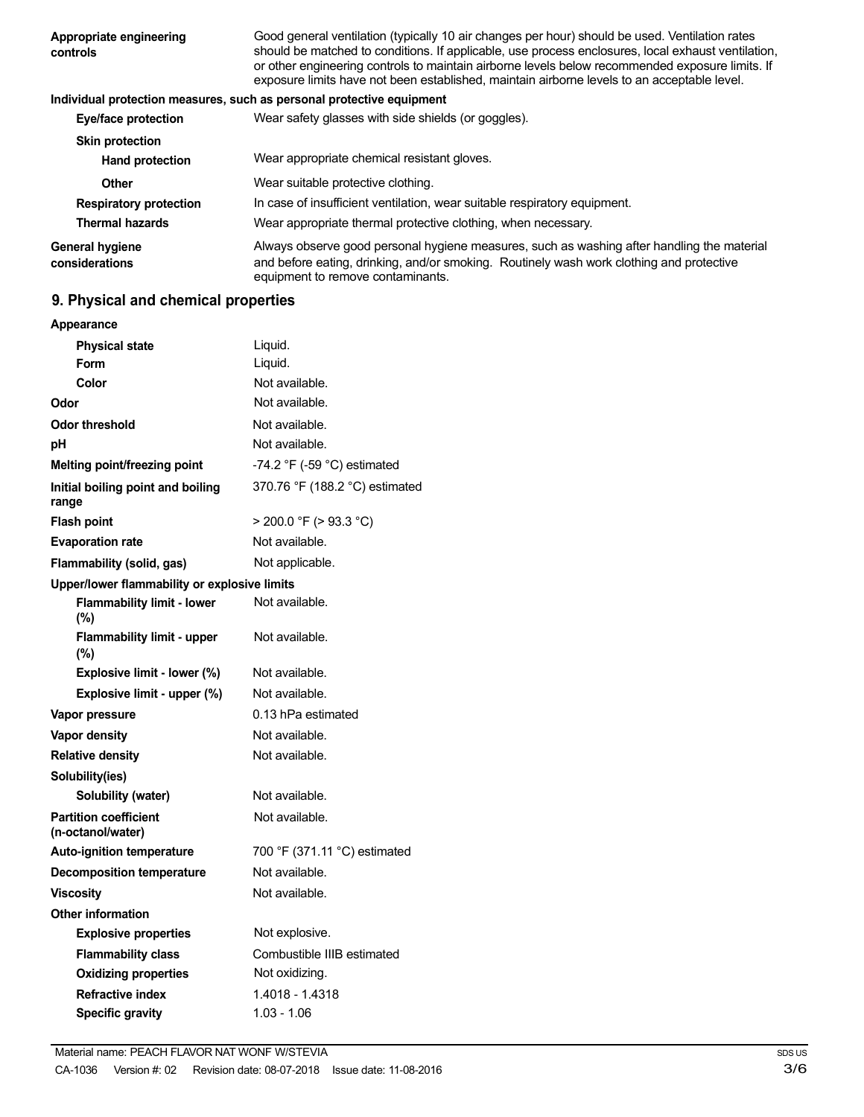| Appropriate engineering<br>controls      | Good general ventilation (typically 10 air changes per hour) should be used. Ventilation rates<br>should be matched to conditions. If applicable, use process enclosures, local exhaust ventilation,<br>or other engineering controls to maintain airborne levels below recommended exposure limits. If<br>exposure limits have not been established, maintain airborne levels to an acceptable level. |
|------------------------------------------|--------------------------------------------------------------------------------------------------------------------------------------------------------------------------------------------------------------------------------------------------------------------------------------------------------------------------------------------------------------------------------------------------------|
|                                          | Individual protection measures, such as personal protective equipment                                                                                                                                                                                                                                                                                                                                  |
| Eye/face protection                      | Wear safety glasses with side shields (or goggles).                                                                                                                                                                                                                                                                                                                                                    |
| <b>Skin protection</b>                   |                                                                                                                                                                                                                                                                                                                                                                                                        |
| <b>Hand protection</b>                   | Wear appropriate chemical resistant gloves.                                                                                                                                                                                                                                                                                                                                                            |
| Other                                    | Wear suitable protective clothing.                                                                                                                                                                                                                                                                                                                                                                     |
| <b>Respiratory protection</b>            | In case of insufficient ventilation, wear suitable respiratory equipment.                                                                                                                                                                                                                                                                                                                              |
| <b>Thermal hazards</b>                   | Wear appropriate thermal protective clothing, when necessary.                                                                                                                                                                                                                                                                                                                                          |
| <b>General hygiene</b><br>considerations | Always observe good personal hygiene measures, such as washing after handling the material<br>and before eating, drinking, and/or smoking. Routinely wash work clothing and protective<br>equipment to remove contaminants.                                                                                                                                                                            |

## **9. Physical and chemical properties**

| Appearance                                        |                                |
|---------------------------------------------------|--------------------------------|
| <b>Physical state</b>                             | Liquid.                        |
| Form                                              | Liquid.                        |
| Color                                             | Not available.                 |
| Odor                                              | Not available.                 |
| <b>Odor threshold</b>                             | Not available.                 |
| рH                                                | Not available.                 |
| Melting point/freezing point                      | -74.2 °F (-59 °C) estimated    |
| Initial boiling point and boiling<br>range        | 370.76 °F (188.2 °C) estimated |
| <b>Flash point</b>                                | $>$ 200.0 °F ( $>$ 93.3 °C)    |
| <b>Evaporation rate</b>                           | Not available.                 |
| Flammability (solid, gas)                         | Not applicable.                |
| Upper/lower flammability or explosive limits      |                                |
| <b>Flammability limit - lower</b><br>(%)          | Not available.                 |
| Flammability limit - upper<br>(%)                 | Not available.                 |
| Explosive limit - lower (%)                       | Not available.                 |
| Explosive limit - upper (%)                       | Not available.                 |
| Vapor pressure                                    | 0.13 hPa estimated             |
| <b>Vapor density</b>                              | Not available.                 |
| <b>Relative density</b>                           | Not available.                 |
| Solubility(ies)                                   |                                |
| Solubility (water)                                | Not available.                 |
| <b>Partition coefficient</b><br>(n-octanol/water) | Not available.                 |
| <b>Auto-ignition temperature</b>                  | 700 °F (371.11 °C) estimated   |
| <b>Decomposition temperature</b>                  | Not available.                 |
| <b>Viscosity</b>                                  | Not available.                 |
| <b>Other information</b>                          |                                |
| <b>Explosive properties</b>                       | Not explosive.                 |
| <b>Flammability class</b>                         | Combustible IIIB estimated     |
| <b>Oxidizing properties</b>                       | Not oxidizing.                 |
| <b>Refractive index</b>                           | 1.4018 - 1.4318                |
| <b>Specific gravity</b>                           | 1.03 - 1.06                    |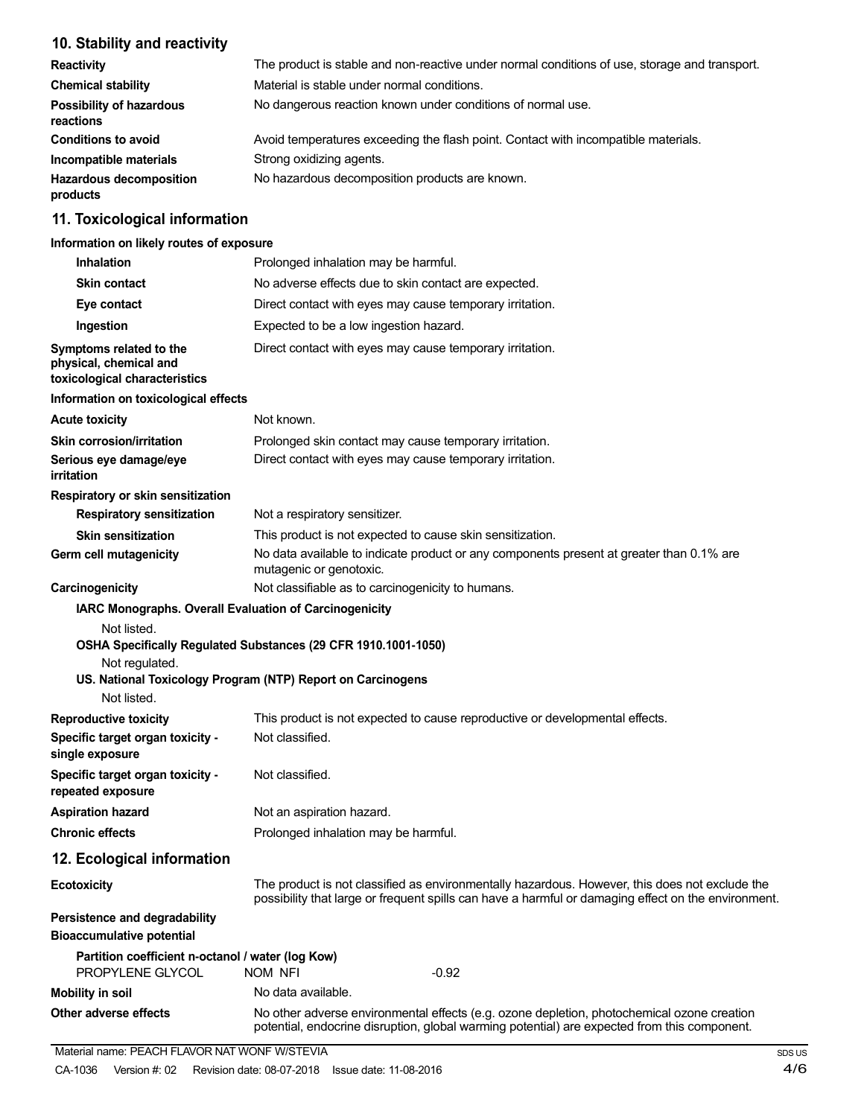## **10. Stability and reactivity**

| <b>Reactivity</b>                            | The product is stable and non-reactive under normal conditions of use, storage and transport. |
|----------------------------------------------|-----------------------------------------------------------------------------------------------|
| <b>Chemical stability</b>                    | Material is stable under normal conditions.                                                   |
| <b>Possibility of hazardous</b><br>reactions | No dangerous reaction known under conditions of normal use.                                   |
| <b>Conditions to avoid</b>                   | Avoid temperatures exceeding the flash point. Contact with incompatible materials.            |
| Incompatible materials                       | Strong oxidizing agents.                                                                      |
| <b>Hazardous decomposition</b><br>products   | No hazardous decomposition products are known.                                                |

## **11. Toxicological information**

### **Information on likely routes of exposure**

| <b>Inhalation</b>                                                                   | Prolonged inhalation may be harmful.                                                                                                                                                                  |
|-------------------------------------------------------------------------------------|-------------------------------------------------------------------------------------------------------------------------------------------------------------------------------------------------------|
| <b>Skin contact</b>                                                                 | No adverse effects due to skin contact are expected.                                                                                                                                                  |
| Eye contact                                                                         | Direct contact with eyes may cause temporary irritation.                                                                                                                                              |
| Ingestion                                                                           | Expected to be a low ingestion hazard.                                                                                                                                                                |
| Symptoms related to the<br>physical, chemical and<br>toxicological characteristics  | Direct contact with eyes may cause temporary irritation.                                                                                                                                              |
| Information on toxicological effects                                                |                                                                                                                                                                                                       |
| <b>Acute toxicity</b>                                                               | Not known.                                                                                                                                                                                            |
| <b>Skin corrosion/irritation</b>                                                    | Prolonged skin contact may cause temporary irritation.                                                                                                                                                |
| Serious eye damage/eye<br>irritation                                                | Direct contact with eyes may cause temporary irritation.                                                                                                                                              |
| Respiratory or skin sensitization                                                   |                                                                                                                                                                                                       |
| <b>Respiratory sensitization</b>                                                    | Not a respiratory sensitizer.                                                                                                                                                                         |
| <b>Skin sensitization</b>                                                           | This product is not expected to cause skin sensitization.                                                                                                                                             |
| Germ cell mutagenicity                                                              | No data available to indicate product or any components present at greater than 0.1% are<br>mutagenic or genotoxic.                                                                                   |
| Carcinogenicity                                                                     | Not classifiable as to carcinogenicity to humans.                                                                                                                                                     |
| Not listed.<br>Not regulated.<br>Not listed.                                        | OSHA Specifically Regulated Substances (29 CFR 1910.1001-1050)<br>US. National Toxicology Program (NTP) Report on Carcinogens                                                                         |
| <b>Reproductive toxicity</b><br>Specific target organ toxicity -<br>single exposure | This product is not expected to cause reproductive or developmental effects.<br>Not classified.                                                                                                       |
| Specific target organ toxicity -<br>repeated exposure                               | Not classified.                                                                                                                                                                                       |
| <b>Aspiration hazard</b>                                                            | Not an aspiration hazard.                                                                                                                                                                             |
| <b>Chronic effects</b>                                                              | Prolonged inhalation may be harmful.                                                                                                                                                                  |
| 12. Ecological information                                                          |                                                                                                                                                                                                       |
| <b>Ecotoxicity</b>                                                                  | The product is not classified as environmentally hazardous. However, this does not exclude the<br>possibility that large or frequent spills can have a harmful or damaging effect on the environment. |
| Persistence and degradability<br><b>Bioaccumulative potential</b>                   |                                                                                                                                                                                                       |
| Partition coefficient n-octanol / water (log Kow)<br>PROPYLENE GLYCOL               | NOM NFI<br>$-0.92$                                                                                                                                                                                    |
| <b>Mobility in soil</b>                                                             | No data available.                                                                                                                                                                                    |
| Other adverse effects                                                               | No other adverse environmental effects (e.g. ozone depletion, photochemical ozone creation<br>potential, endocrine disruption, global warming potential) are expected from this component.            |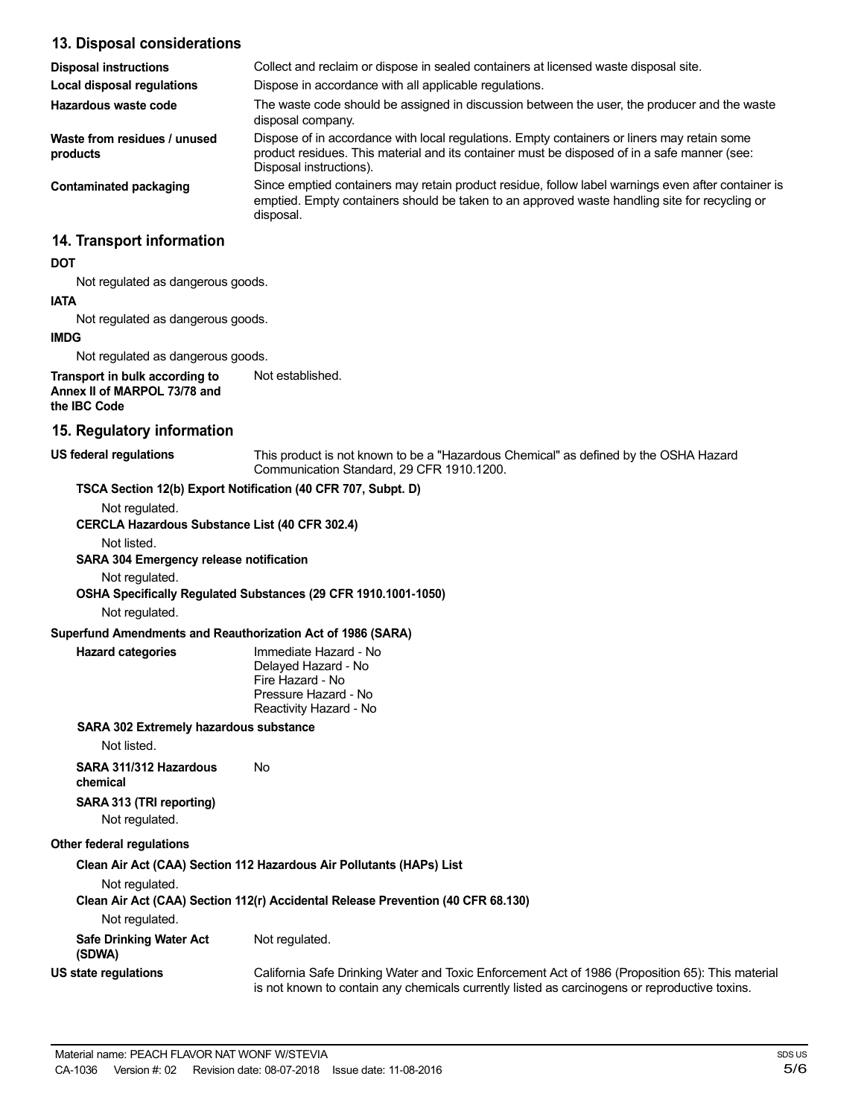## **13. Disposal considerations**

| <b>Disposal instructions</b>             | Collect and reclaim or dispose in sealed containers at licensed waste disposal site.                                                                                                                                   |
|------------------------------------------|------------------------------------------------------------------------------------------------------------------------------------------------------------------------------------------------------------------------|
| Local disposal regulations               | Dispose in accordance with all applicable regulations.                                                                                                                                                                 |
| Hazardous waste code                     | The waste code should be assigned in discussion between the user, the producer and the waste<br>disposal company.                                                                                                      |
| Waste from residues / unused<br>products | Dispose of in accordance with local regulations. Empty containers or liners may retain some<br>product residues. This material and its container must be disposed of in a safe manner (see:<br>Disposal instructions). |
| Contaminated packaging                   | Since emptied containers may retain product residue, follow label warnings even after container is<br>emptied. Empty containers should be taken to an approved waste handling site for recycling or<br>disposal.       |
| 14. Transport information                |                                                                                                                                                                                                                        |
| <b>DOT</b>                               |                                                                                                                                                                                                                        |

Not regulated as dangerous goods.

#### **IATA**

Not regulated as dangerous goods.

**IMDG**

Not regulated as dangerous goods.

**Transport in bulk according to Annex II of MARPOL 73/78 and the IBC Code** Not established.

#### **15. Regulatory information**

**US federal regulations** This product is not known to be a "Hazardous Chemical" as defined by the OSHA Hazard Communication Standard, 29 CFR 1910.1200.

### **TSCA Section 12(b) Export Notification (40 CFR 707, Subpt. D)**

Not regulated.

**CERCLA Hazardous Substance List (40 CFR 302.4)**

Not listed.

### **SARA 304 Emergency release notification**

Not regulated.

**OSHA Specifically Regulated Substances (29 CFR 1910.1001-1050)**

Not regulated.

#### **Superfund Amendments and Reauthorization Act of 1986 (SARA)**

**Hazard categories** Immediate Hazard - No Delayed Hazard - No Fire Hazard - No Pressure Hazard - No Reactivity Hazard - No

### **SARA 302 Extremely hazardous substance**

Not listed.

**SARA 311/312 Hazardous** No **chemical**

## **SARA 313 (TRI reporting)**

Not regulated.

## **Other federal regulations**

**Clean Air Act (CAA) Section 112 Hazardous Air Pollutants (HAPs) List**

Not regulated.

## **Clean Air Act (CAA) Section 112(r) Accidental Release Prevention (40 CFR 68.130)**

Not regulated.

| <b>Safe Drinking Water Act</b><br>(SDWA) | Not regulated.                                                                                                                                                                                    |
|------------------------------------------|---------------------------------------------------------------------------------------------------------------------------------------------------------------------------------------------------|
| US state regulations                     | California Safe Drinking Water and Toxic Enforcement Act of 1986 (Proposition 65): This material<br>is not known to contain any chemicals currently listed as carcinogens or reproductive toxins. |